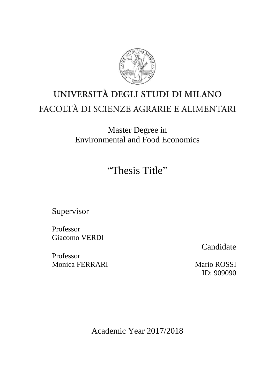

# UNIVERSITÀ DEGLI STUDI DI MILANO FACOLTÀ DI SCIENZE AGRARIE E ALIMENTARI

Master Degree in Environmental and Food Economics

"Thesis Title"

Supervisor

Professor Giacomo VERDI

Professor Monica FERRARI Mario ROSSI

Candidate

ID: 909090

Academic Year 2017/2018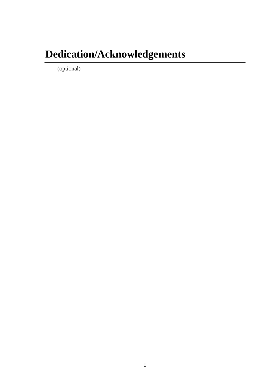# **Dedication/Acknowledgements**

(optional)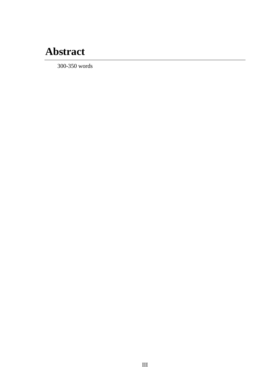# **Abstract**

300-350 words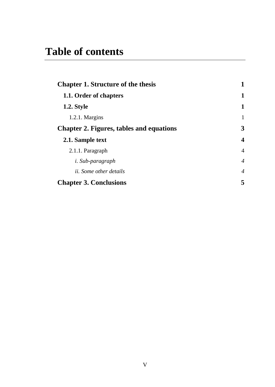| <b>Chapter 1. Structure of the thesis</b>       |                         |
|-------------------------------------------------|-------------------------|
| 1.1. Order of chapters                          | 1                       |
| 1.2. Style                                      | 1                       |
| $1.2.1.$ Margins                                | 1                       |
| <b>Chapter 2. Figures, tables and equations</b> | 3                       |
| 2.1. Sample text                                | $\overline{\mathbf{4}}$ |
| 2.1.1. Paragraph                                | $\overline{4}$          |
| <i>i.</i> Sub-paragraph                         | $\overline{4}$          |
| <i>ii.</i> Some other details                   | $\overline{4}$          |
| <b>Chapter 3. Conclusions</b>                   | 5                       |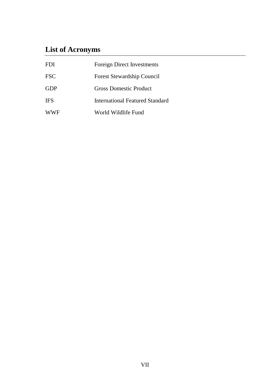## **List of Acronyms**

| FDI.       | Foreign Direct Investments      |
|------------|---------------------------------|
| <b>FSC</b> | Forest Stewardship Council      |
| GDP        | Gross Domestic Product          |
| <b>IFS</b> | International Featured Standard |
| <b>WWF</b> | World Wildlife Fund             |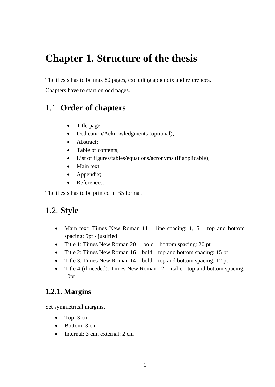## <span id="page-8-0"></span>**Chapter 1. Structure of the thesis**

The thesis has to be max 80 pages, excluding appendix and references.

Chapters have to start on odd pages.

## <span id="page-8-1"></span>1.1. **Order of chapters**

- Title page;
- Dedication/Acknowledgments (optional);
- Abstract:
- Table of contents;
- List of figures/tables/equations/acronyms (if applicable);
- Main text:
- Appendix;
- References.

The thesis has to be printed in B5 format.

### <span id="page-8-2"></span>1.2. **Style**

- Main text: Times New Roman  $11$  line spacing:  $1,15$  top and bottom spacing: 5pt - justified
- Title 1: Times New Roman  $20 **bold bottom** spacing: 20 pt$
- Title 2: Times New Roman  $16 *bold top*$  and bottom spacing: 15 pt
- Title 3: Times New Roman  $14 *bold top*$  and bottom spacing: 12 pt
- Title 4 (if needed): Times New Roman  $12 \text{italic}$  top and bottom spacing: 10pt

### <span id="page-8-3"></span>**1.2.1. Margins**

Set symmetrical margins.

- Top: 3 cm
- Bottom: 3 cm
- Internal: 3 cm, external: 2 cm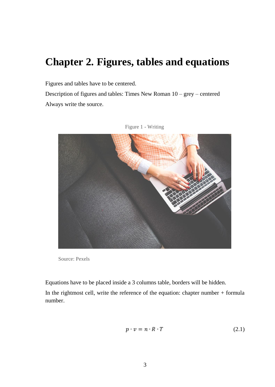## <span id="page-10-0"></span>**Chapter 2. Figures, tables and equations**

Figures and tables have to be centered.

Description of figures and tables: Times New Roman 10 – grey – centered Always write the source.





Equations have to be placed inside a 3 columns table, borders will be hidden.

In the rightmost cell, write the reference of the equation: chapter number + formula number.

$$
p \cdot v = n \cdot R \cdot T \tag{2.1}
$$

Source: Pexels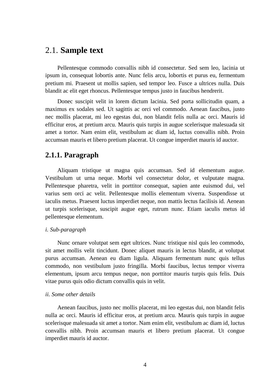### <span id="page-11-0"></span>2.1. **Sample text**

Pellentesque commodo convallis nibh id consectetur. Sed sem leo, lacinia ut ipsum in, consequat lobortis ante. Nunc felis arcu, lobortis et purus eu, fermentum pretium mi. Praesent ut mollis sapien, sed tempor leo. Fusce a ultrices nulla. Duis blandit ac elit eget rhoncus. Pellentesque tempus justo in faucibus hendrerit.

Donec suscipit velit in lorem dictum lacinia. Sed porta sollicitudin quam, a maximus ex sodales sed. Ut sagittis ac orci vel commodo. Aenean faucibus, justo nec mollis placerat, mi leo egestas dui, non blandit felis nulla ac orci. Mauris id efficitur eros, at pretium arcu. Mauris quis turpis in augue scelerisque malesuada sit amet a tortor. Nam enim elit, vestibulum ac diam id, luctus convallis nibh. Proin accumsan mauris et libero pretium placerat. Ut congue imperdiet mauris id auctor.

#### <span id="page-11-1"></span>**2.1.1. Paragraph**

Aliquam tristique ut magna quis accumsan. Sed id elementum augue. Vestibulum ut urna neque. Morbi vel consectetur dolor, et vulputate magna. Pellentesque pharetra, velit in porttitor consequat, sapien ante euismod dui, vel varius sem orci ac velit. Pellentesque mollis elementum viverra. Suspendisse ut iaculis metus. Praesent luctus imperdiet neque, non mattis lectus facilisis id. Aenean ut turpis scelerisque, suscipit augue eget, rutrum nunc. Etiam iaculis metus id pellentesque elementum.

#### <span id="page-11-2"></span>*i. Sub-paragraph*

Nunc ornare volutpat sem eget ultrices. Nunc tristique nisl quis leo commodo, sit amet mollis velit tincidunt. Donec aliquet mauris in lectus blandit, at volutpat purus accumsan. Aenean eu diam ligula. Aliquam fermentum nunc quis tellus commodo, non vestibulum justo fringilla. Morbi faucibus, lectus tempor viverra elementum, ipsum arcu tempus neque, non porttitor mauris turpis quis felis. Duis vitae purus quis odio dictum convallis quis in velit.

#### <span id="page-11-3"></span>*ii. Some other details*

Aenean faucibus, justo nec mollis placerat, mi leo egestas dui, non blandit felis nulla ac orci. Mauris id efficitur eros, at pretium arcu. Mauris quis turpis in augue scelerisque malesuada sit amet a tortor. Nam enim elit, vestibulum ac diam id, luctus convallis nibh. Proin accumsan mauris et libero pretium placerat. Ut congue imperdiet mauris id auctor.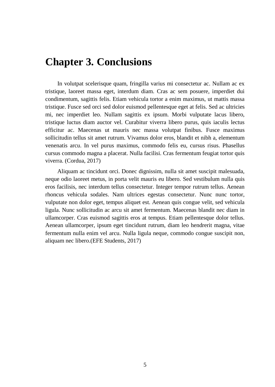## <span id="page-12-0"></span>**Chapter 3. Conclusions**

In volutpat scelerisque quam, fringilla varius mi consectetur ac. Nullam ac ex tristique, laoreet massa eget, interdum diam. Cras ac sem posuere, imperdiet dui condimentum, sagittis felis. Etiam vehicula tortor a enim maximus, ut mattis massa tristique. Fusce sed orci sed dolor euismod pellentesque eget at felis. Sed ac ultricies mi, nec imperdiet leo. Nullam sagittis ex ipsum. Morbi vulputate lacus libero, tristique luctus diam auctor vel. Curabitur viverra libero purus, quis iaculis lectus efficitur ac. Maecenas ut mauris nec massa volutpat finibus. Fusce maximus sollicitudin tellus sit amet rutrum. Vivamus dolor eros, blandit et nibh a, elementum venenatis arcu. In vel purus maximus, commodo felis eu, cursus risus. Phasellus cursus commodo magna a placerat. Nulla facilisi. Cras fermentum feugiat tortor quis viverra. (Cordua, 2017)

Aliquam ac tincidunt orci. Donec dignissim, nulla sit amet suscipit malesuada, neque odio laoreet metus, in porta velit mauris eu libero. Sed vestibulum nulla quis eros facilisis, nec interdum tellus consectetur. Integer tempor rutrum tellus. Aenean rhoncus vehicula sodales. Nam ultrices egestas consectetur. Nunc nunc tortor, vulputate non dolor eget, tempus aliquet est. Aenean quis congue velit, sed vehicula ligula. Nunc sollicitudin ac arcu sit amet fermentum. Maecenas blandit nec diam in ullamcorper. Cras euismod sagittis eros at tempus. Etiam pellentesque dolor tellus. Aenean ullamcorper, ipsum eget tincidunt rutrum, diam leo hendrerit magna, vitae fermentum nulla enim vel arcu. Nulla ligula neque, commodo congue suscipit non, aliquam nec libero.(EFE Students, 2017)